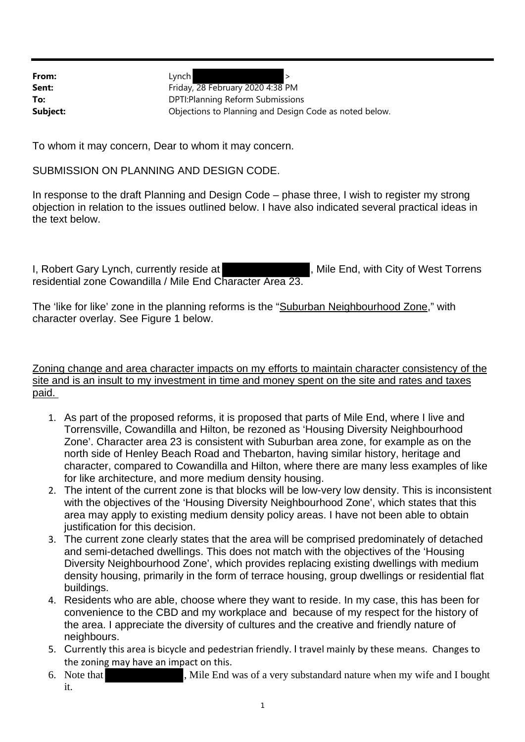**From:** Lynch > Sent: Friday, 28 February 2020 4:38 PM **To:** DPTI:Planning Reform Submissions **Subject: Subject:** Objections to Planning and Design Code as noted below.

To whom it may concern, Dear to whom it may concern.

SUBMISSION ON PLANNING AND DESIGN CODE.

In response to the draft Planning and Design Code – phase three, I wish to register my strong objection in relation to the issues outlined below. I have also indicated several practical ideas in the text below.

I, Robert Gary Lynch, currently reside at **Access 1. Mile Ender and Figure 1**, Mile End, with City of West Torrens residential zone Cowandilla / Mile End Character Area 23.

The 'like for like' zone in the planning reforms is the "Suburban Neighbourhood Zone," with character overlay. See Figure 1 below.

Zoning change and area character impacts on my efforts to maintain character consistency of the site and is an insult to my investment in time and money spent on the site and rates and taxes paid.

- 1. As part of the proposed reforms, it is proposed that parts of Mile End, where I live and Torrensville, Cowandilla and Hilton, be rezoned as 'Housing Diversity Neighbourhood Zone'. Character area 23 is consistent with Suburban area zone, for example as on the north side of Henley Beach Road and Thebarton, having similar history, heritage and character, compared to Cowandilla and Hilton, where there are many less examples of like for like architecture, and more medium density housing.
- 2. The intent of the current zone is that blocks will be low-very low density. This is inconsistent with the objectives of the 'Housing Diversity Neighbourhood Zone', which states that this area may apply to existing medium density policy areas. I have not been able to obtain justification for this decision.
- 3. The current zone clearly states that the area will be comprised predominately of detached and semi-detached dwellings. This does not match with the objectives of the 'Housing Diversity Neighbourhood Zone', which provides replacing existing dwellings with medium density housing, primarily in the form of terrace housing, group dwellings or residential flat buildings.
- 4. Residents who are able, choose where they want to reside. In my case, this has been for convenience to the CBD and my workplace and because of my respect for the history of the area. I appreciate the diversity of cultures and the creative and friendly nature of neighbours.
- 5. Currently this area is bicycle and pedestrian friendly. I travel mainly by these means. Changes to the zoning may have an impact on this.
- 6. Note that , Mile End was of a very substandard nature when my wife and I bought it.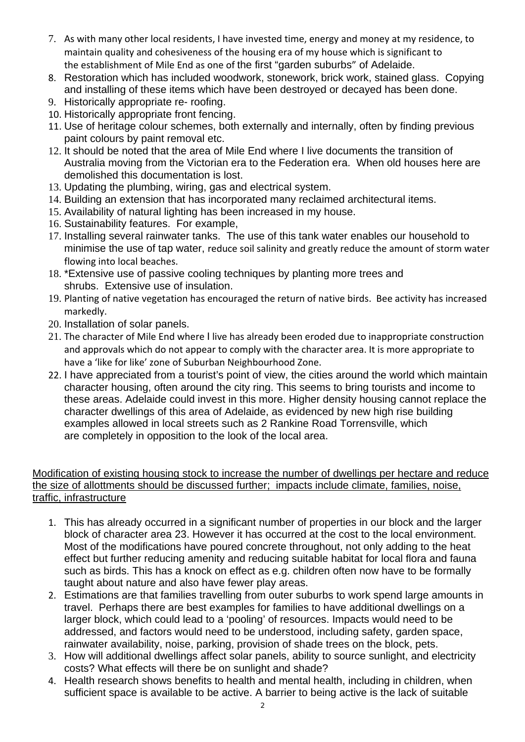- 7. As with many other local residents, I have invested time, energy and money at my residence, to maintain quality and cohesiveness of the housing era of my house which is significant to the establishment of Mile End as one of the first "garden suburbs" of Adelaide.
- 8. Restoration which has included woodwork, stonework, brick work, stained glass. Copying and installing of these items which have been destroyed or decayed has been done.
- 9. Historically appropriate re- roofing.
- 10. Historically appropriate front fencing.
- 11. Use of heritage colour schemes, both externally and internally, often by finding previous paint colours by paint removal etc.
- 12. It should be noted that the area of Mile End where I live documents the transition of Australia moving from the Victorian era to the Federation era. When old houses here are demolished this documentation is lost.
- 13. Updating the plumbing, wiring, gas and electrical system.
- 14. Building an extension that has incorporated many reclaimed architectural items.
- 15. Availability of natural lighting has been increased in my house.
- 16. Sustainability features. For example,
- 17. Installing several rainwater tanks. The use of this tank water enables our household to minimise the use of tap water, reduce soil salinity and greatly reduce the amount of storm water flowing into local beaches.
- 18. \*Extensive use of passive cooling techniques by planting more trees and shrubs. Extensive use of insulation.
- 19. Planting of native vegetation has encouraged the return of native birds. Bee activity has increased markedly.
- 20. Installation of solar panels.
- 21. The character of Mile End where I live has already been eroded due to inappropriate construction and approvals which do not appear to comply with the character area. It is more appropriate to have a 'like for like' zone of Suburban Neighbourhood Zone.
- 22. I have appreciated from a tourist's point of view, the cities around the world which maintain character housing, often around the city ring. This seems to bring tourists and income to these areas. Adelaide could invest in this more. Higher density housing cannot replace the character dwellings of this area of Adelaide, as evidenced by new high rise building examples allowed in local streets such as 2 Rankine Road Torrensville, which are completely in opposition to the look of the local area.

## Modification of existing housing stock to increase the number of dwellings per hectare and reduce the size of allottments should be discussed further; impacts include climate, families, noise, traffic, infrastructure

- 1. This has already occurred in a significant number of properties in our block and the larger block of character area 23. However it has occurred at the cost to the local environment. Most of the modifications have poured concrete throughout, not only adding to the heat effect but further reducing amenity and reducing suitable habitat for local flora and fauna such as birds. This has a knock on effect as e.g. children often now have to be formally taught about nature and also have fewer play areas.
- 2. Estimations are that families travelling from outer suburbs to work spend large amounts in travel. Perhaps there are best examples for families to have additional dwellings on a larger block, which could lead to a 'pooling' of resources. Impacts would need to be addressed, and factors would need to be understood, including safety, garden space, rainwater availability, noise, parking, provision of shade trees on the block, pets.
- 3. How will additional dwellings affect solar panels, ability to source sunlight, and electricity costs? What effects will there be on sunlight and shade?
- 4. Health research shows benefits to health and mental health, including in children, when sufficient space is available to be active. A barrier to being active is the lack of suitable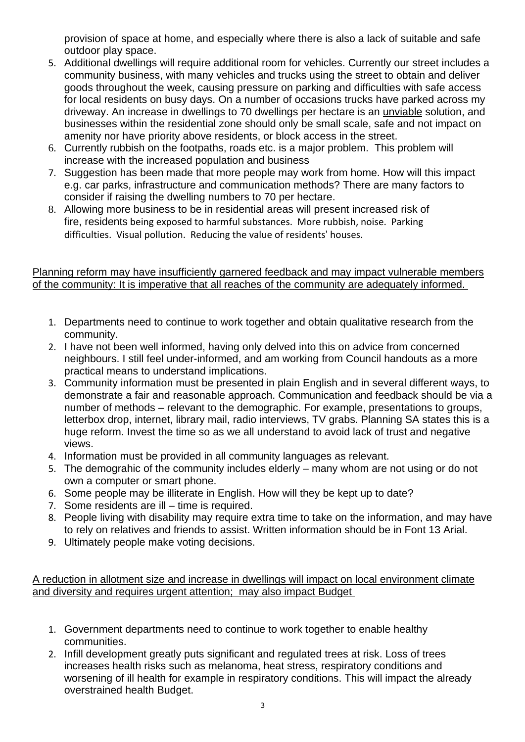provision of space at home, and especially where there is also a lack of suitable and safe outdoor play space.

- 5. Additional dwellings will require additional room for vehicles. Currently our street includes a community business, with many vehicles and trucks using the street to obtain and deliver goods throughout the week, causing pressure on parking and difficulties with safe access for local residents on busy days. On a number of occasions trucks have parked across my driveway. An increase in dwellings to 70 dwellings per hectare is an unviable solution, and businesses within the residential zone should only be small scale, safe and not impact on amenity nor have priority above residents, or block access in the street.
- 6. Currently rubbish on the footpaths, roads etc. is a major problem. This problem will increase with the increased population and business
- 7. Suggestion has been made that more people may work from home. How will this impact e.g. car parks, infrastructure and communication methods? There are many factors to consider if raising the dwelling numbers to 70 per hectare.
- 8. Allowing more business to be in residential areas will present increased risk of fire, residents being exposed to harmful substances. More rubbish, noise. Parking difficulties. Visual pollution. Reducing the value of residents' houses.

## Planning reform may have insufficiently garnered feedback and may impact vulnerable members of the community: It is imperative that all reaches of the community are adequately informed.

- 1. Departments need to continue to work together and obtain qualitative research from the community.
- 2. I have not been well informed, having only delved into this on advice from concerned neighbours. I still feel under-informed, and am working from Council handouts as a more practical means to understand implications.
- 3. Community information must be presented in plain English and in several different ways, to demonstrate a fair and reasonable approach. Communication and feedback should be via a number of methods – relevant to the demographic. For example, presentations to groups, letterbox drop, internet, library mail, radio interviews, TV grabs. Planning SA states this is a huge reform. Invest the time so as we all understand to avoid lack of trust and negative views.
- 4. Information must be provided in all community languages as relevant.
- 5. The demograhic of the community includes elderly many whom are not using or do not own a computer or smart phone.
- 6. Some people may be illiterate in English. How will they be kept up to date?
- 7. Some residents are ill time is required.
- 8. People living with disability may require extra time to take on the information, and may have to rely on relatives and friends to assist. Written information should be in Font 13 Arial.
- 9. Ultimately people make voting decisions.

A reduction in allotment size and increase in dwellings will impact on local environment climate and diversity and requires urgent attention; may also impact Budget

- 1. Government departments need to continue to work together to enable healthy communities.
- 2. Infill development greatly puts significant and regulated trees at risk. Loss of trees increases health risks such as melanoma, heat stress, respiratory conditions and worsening of ill health for example in respiratory conditions. This will impact the already overstrained health Budget.